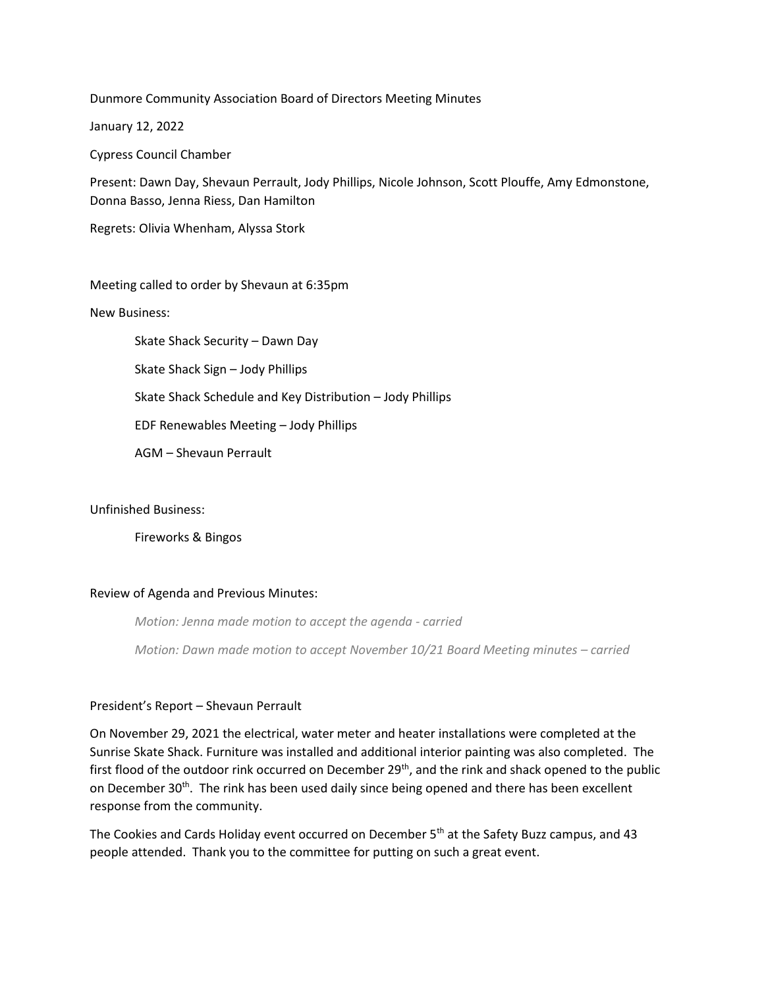Dunmore Community Association Board of Directors Meeting Minutes

January 12, 2022

Cypress Council Chamber

Present: Dawn Day, Shevaun Perrault, Jody Phillips, Nicole Johnson, Scott Plouffe, Amy Edmonstone, Donna Basso, Jenna Riess, Dan Hamilton

Regrets: Olivia Whenham, Alyssa Stork

Meeting called to order by Shevaun at 6:35pm

New Business:

Skate Shack Security – Dawn Day Skate Shack Sign – Jody Phillips Skate Shack Schedule and Key Distribution – Jody Phillips EDF Renewables Meeting – Jody Phillips AGM – Shevaun Perrault

# Unfinished Business:

Fireworks & Bingos

### Review of Agenda and Previous Minutes:

*Motion: Jenna made motion to accept the agenda - carried Motion: Dawn made motion to accept November 10/21 Board Meeting minutes – carried*

### President's Report – Shevaun Perrault

On November 29, 2021 the electrical, water meter and heater installations were completed at the Sunrise Skate Shack. Furniture was installed and additional interior painting was also completed. The first flood of the outdoor rink occurred on December 29<sup>th</sup>, and the rink and shack opened to the public on December 30<sup>th</sup>. The rink has been used daily since being opened and there has been excellent response from the community.

The Cookies and Cards Holiday event occurred on December 5<sup>th</sup> at the Safety Buzz campus, and 43 people attended. Thank you to the committee for putting on such a great event.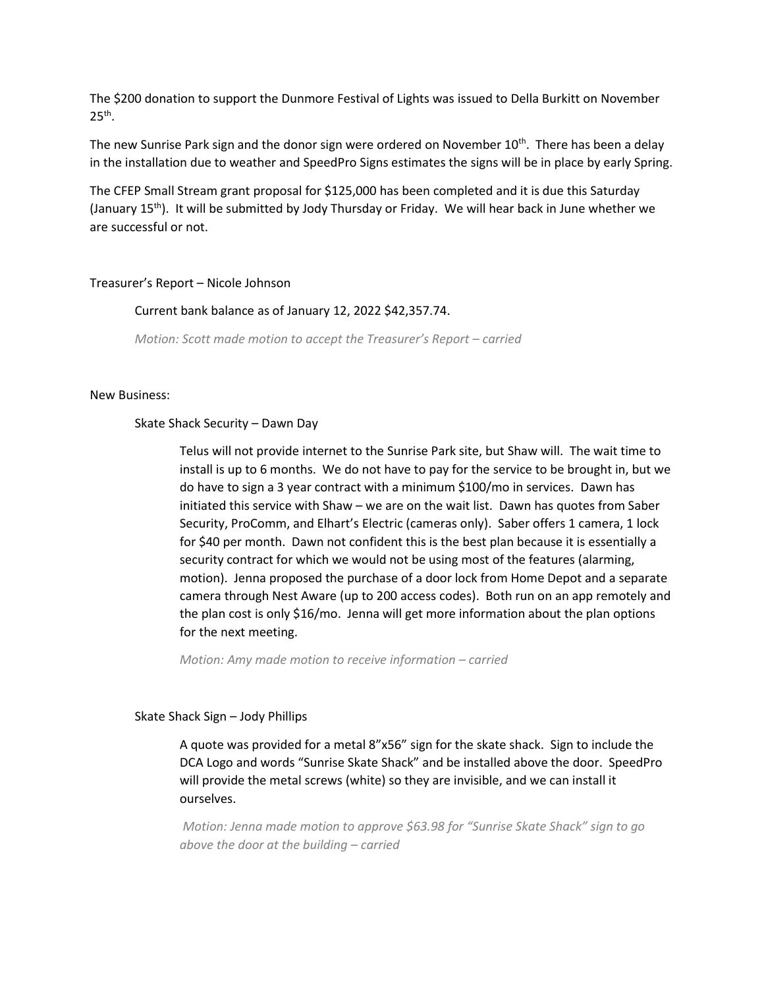The \$200 donation to support the Dunmore Festival of Lights was issued to Della Burkitt on November  $25<sup>th</sup>$ .

The new Sunrise Park sign and the donor sign were ordered on November 10<sup>th</sup>. There has been a delay in the installation due to weather and SpeedPro Signs estimates the signs will be in place by early Spring.

The CFEP Small Stream grant proposal for \$125,000 has been completed and it is due this Saturday (January 15th). It will be submitted by Jody Thursday or Friday. We will hear back in June whether we are successful or not.

## Treasurer's Report – Nicole Johnson

## Current bank balance as of January 12, 2022 \$42,357.74.

*Motion: Scott made motion to accept the Treasurer's Report – carried*

### New Business:

### Skate Shack Security – Dawn Day

Telus will not provide internet to the Sunrise Park site, but Shaw will. The wait time to install is up to 6 months. We do not have to pay for the service to be brought in, but we do have to sign a 3 year contract with a minimum \$100/mo in services. Dawn has initiated this service with Shaw – we are on the wait list. Dawn has quotes from Saber Security, ProComm, and Elhart's Electric (cameras only). Saber offers 1 camera, 1 lock for \$40 per month. Dawn not confident this is the best plan because it is essentially a security contract for which we would not be using most of the features (alarming, motion). Jenna proposed the purchase of a door lock from Home Depot and a separate camera through Nest Aware (up to 200 access codes). Both run on an app remotely and the plan cost is only \$16/mo. Jenna will get more information about the plan options for the next meeting.

*Motion: Amy made motion to receive information – carried* 

### Skate Shack Sign – Jody Phillips

A quote was provided for a metal 8"x56" sign for the skate shack. Sign to include the DCA Logo and words "Sunrise Skate Shack" and be installed above the door. SpeedPro will provide the metal screws (white) so they are invisible, and we can install it ourselves.

*Motion: Jenna made motion to approve \$63.98 for "Sunrise Skate Shack" sign to go above the door at the building – carried*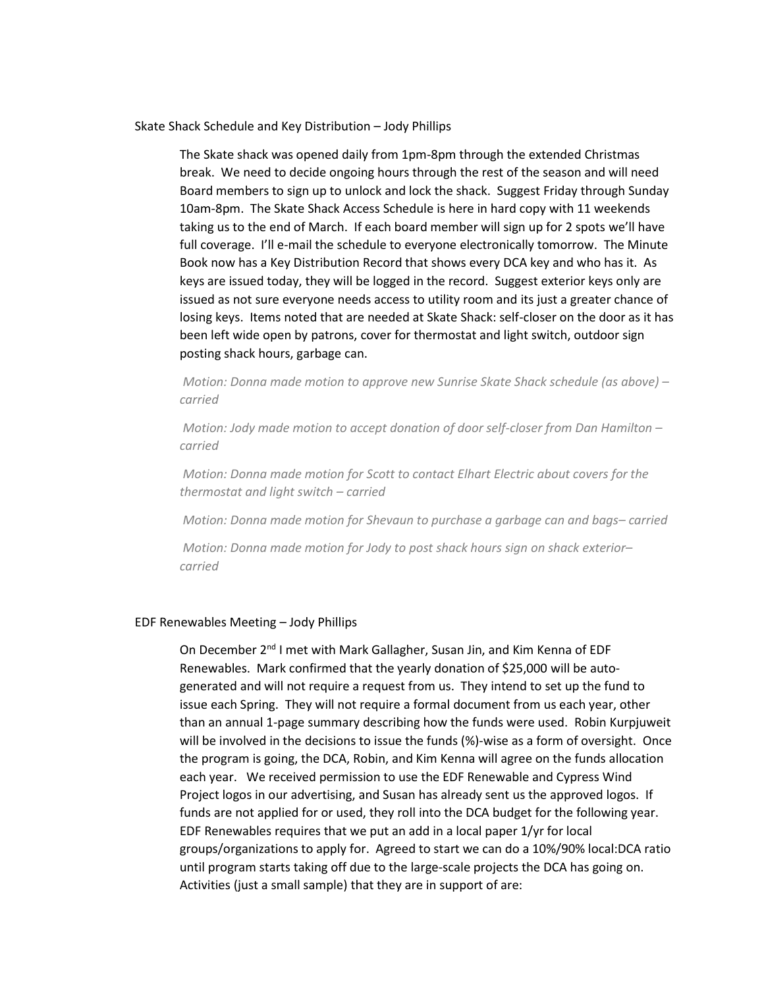Skate Shack Schedule and Key Distribution – Jody Phillips

The Skate shack was opened daily from 1pm-8pm through the extended Christmas break. We need to decide ongoing hours through the rest of the season and will need Board members to sign up to unlock and lock the shack. Suggest Friday through Sunday 10am-8pm. The Skate Shack Access Schedule is here in hard copy with 11 weekends taking us to the end of March. If each board member will sign up for 2 spots we'll have full coverage. I'll e-mail the schedule to everyone electronically tomorrow. The Minute Book now has a Key Distribution Record that shows every DCA key and who has it. As keys are issued today, they will be logged in the record. Suggest exterior keys only are issued as not sure everyone needs access to utility room and its just a greater chance of losing keys. Items noted that are needed at Skate Shack: self-closer on the door as it has been left wide open by patrons, cover for thermostat and light switch, outdoor sign posting shack hours, garbage can.

*Motion: Donna made motion to approve new Sunrise Skate Shack schedule (as above) – carried*

*Motion: Jody made motion to accept donation of door self-closer from Dan Hamilton – carried*

*Motion: Donna made motion for Scott to contact Elhart Electric about covers for the thermostat and light switch – carried*

*Motion: Donna made motion for Shevaun to purchase a garbage can and bags– carried*

*Motion: Donna made motion for Jody to post shack hours sign on shack exterior– carried*

#### EDF Renewables Meeting – Jody Phillips

On December 2<sup>nd</sup> I met with Mark Gallagher, Susan Jin, and Kim Kenna of EDF Renewables. Mark confirmed that the yearly donation of \$25,000 will be autogenerated and will not require a request from us. They intend to set up the fund to issue each Spring. They will not require a formal document from us each year, other than an annual 1-page summary describing how the funds were used. Robin Kurpjuweit will be involved in the decisions to issue the funds (%)-wise as a form of oversight. Once the program is going, the DCA, Robin, and Kim Kenna will agree on the funds allocation each year. We received permission to use the EDF Renewable and Cypress Wind Project logos in our advertising, and Susan has already sent us the approved logos. If funds are not applied for or used, they roll into the DCA budget for the following year. EDF Renewables requires that we put an add in a local paper 1/yr for local groups/organizations to apply for. Agreed to start we can do a 10%/90% local:DCA ratio until program starts taking off due to the large-scale projects the DCA has going on. Activities (just a small sample) that they are in support of are: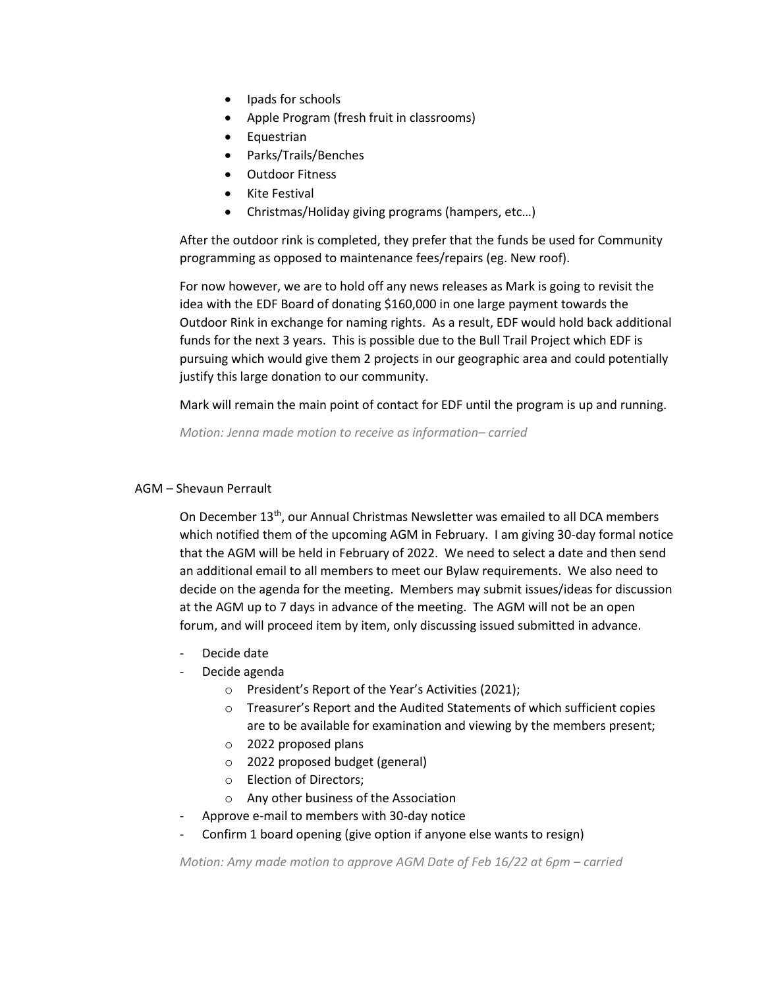- Ipads for schools
- Apple Program (fresh fruit in classrooms)
- Equestrian
- Parks/Trails/Benches
- Outdoor Fitness
- Kite Festival
- Christmas/Holiday giving programs (hampers, etc…)

After the outdoor rink is completed, they prefer that the funds be used for Community programming as opposed to maintenance fees/repairs (eg. New roof).

For now however, we are to hold off any news releases as Mark is going to revisit the idea with the EDF Board of donating \$160,000 in one large payment towards the Outdoor Rink in exchange for naming rights. As a result, EDF would hold back additional funds for the next 3 years. This is possible due to the Bull Trail Project which EDF is pursuing which would give them 2 projects in our geographic area and could potentially justify this large donation to our community.

Mark will remain the main point of contact for EDF until the program is up and running.

*Motion: Jenna made motion to receive as information– carried*

## AGM – Shevaun Perrault

On December  $13<sup>th</sup>$ , our Annual Christmas Newsletter was emailed to all DCA members which notified them of the upcoming AGM in February. I am giving 30-day formal notice that the AGM will be held in February of 2022. We need to select a date and then send an additional email to all members to meet our Bylaw requirements. We also need to decide on the agenda for the meeting. Members may submit issues/ideas for discussion at the AGM up to 7 days in advance of the meeting. The AGM will not be an open forum, and will proceed item by item, only discussing issued submitted in advance.

- Decide date
- Decide agenda
	- o President's Report of the Year's Activities (2021);
	- o Treasurer's Report and the Audited Statements of which sufficient copies are to be available for examination and viewing by the members present;
	- o 2022 proposed plans
	- o 2022 proposed budget (general)
	- o Election of Directors;
	- o Any other business of the Association
- Approve e-mail to members with 30-day notice
- Confirm 1 board opening (give option if anyone else wants to resign)

*Motion: Amy made motion to approve AGM Date of Feb 16/22 at 6pm – carried*